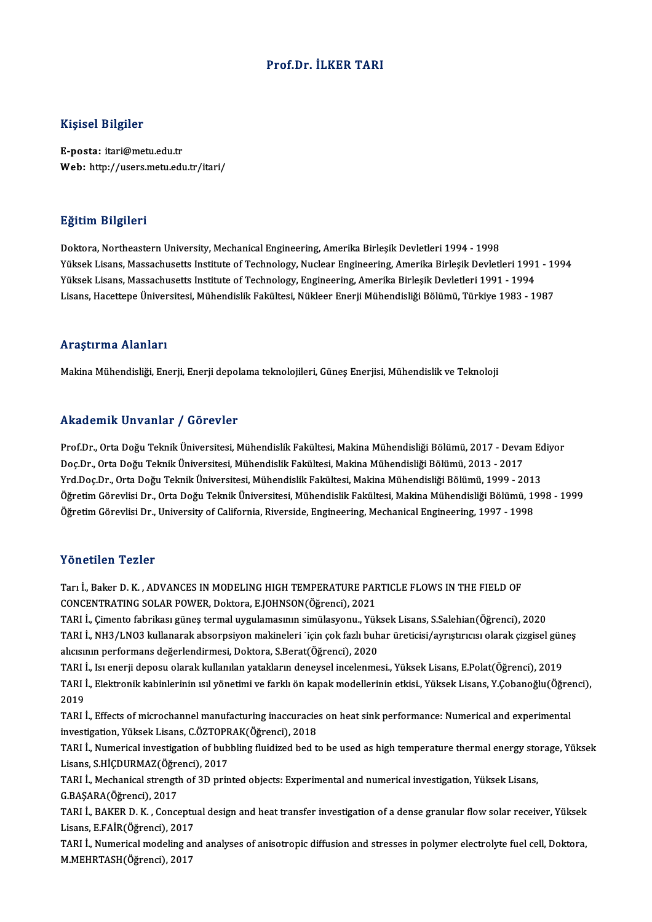#### Prof.Dr. İLKER TARI

#### Kişisel Bilgiler

E-posta: itari@metu.edu.tr Web: http://users.metu.edu.tr/itari/

#### Eğitim Bilgileri

Doktora, Northeastern University, Mechanical Engineering, Amerika Birleşik Devletleri 1994 - 1998 Yüksek Lisans, Massachusetts Institute of Technology, Nuclear Engineering, Amerika Birleşik Devletleri 1991 - 1994 Yüksek Lisans, Massachusetts Institute of Technology, Engineering, Amerika Birleşik Devletleri 1991 - 1994 Lisans, Hacettepe Üniversitesi, Mühendislik Fakültesi, Nükleer Enerji Mühendisliği Bölümü, Türkiye 1983 - 1987

#### Araştırma Alanları

Makina Mühendisliği, Enerji, Enerji depolama teknolojileri, Güneş Enerjisi, Mühendislik ve Teknoloji

#### Akademik Unvanlar / Görevler

Akademik Unvanlar / Görevler<br>Prof.Dr., Orta Doğu Teknik Üniversitesi, Mühendislik Fakültesi, Makina Mühendisliği Bölümü, 2017 - Devam Ediyor<br>Dos.Dr., Orta Doğu Teknik Üniversitesi, Mühendislik Fakültesi, Makina Mühendisliğ rrittat onritt on varirar ")" dör ovror<br>Prof.Dr., Orta Doğu Teknik Üniversitesi, Mühendislik Fakültesi, Makina Mühendisliği Bölümü, 2017 - Devai<br>Doç.Dr., Orta Doğu Teknik Üniversitesi, Mühendislik Fakültesi, Makina Mühendi Prof.Dr., Orta Doğu Teknik Üniversitesi, Mühendislik Fakültesi, Makina Mühendisliği Bölümü, 2017 - Devam Ec<br>Doç.Dr., Orta Doğu Teknik Üniversitesi, Mühendislik Fakültesi, Makina Mühendisliği Bölümü, 2013 - 2017<br>Yrd.Doç.Dr. Doç.Dr., Orta Doğu Teknik Üniversitesi, Mühendislik Fakültesi, Makina Mühendisliği Bölümü, 2013 - 2017<br>Yrd.Doç.Dr., Orta Doğu Teknik Üniversitesi, Mühendislik Fakültesi, Makina Mühendisliği Bölümü, 1999 - 2013<br>Öğretim Göre Yrd.Doç.Dr., Orta Doğu Teknik Üniversitesi, Mühendislik Fakültesi, Makina Mühendisliği Bölümü, 1999 - 201.<br>Öğretim Görevlisi Dr., Orta Doğu Teknik Üniversitesi, Mühendislik Fakültesi, Makina Mühendisliği Bölümü, 1!<br>Öğretim Öğretim Görevlisi Dr., University of California, Riverside, Engineering, Mechanical Engineering, 1997 - 1998<br>Yönetilen Tezler

Tarı İ., Baker D. K. , ADVANCES IN MODELING HIGH TEMPERATURE PARTICLE FLOWS IN THE FIELD OF CONCENTRATING SOLAR POWER, Doktora, E.JOHNSON(Öğrenci), 2021 Tarı İ., Baker D. K. , ADVANCES IN MODELING HIGH TEMPERATURE PARTICLE FLOWS IN THE FIELD OF<br>CONCENTRATING SOLAR POWER, Doktora, E.JOHNSON(Öğrenci), 2021<br>TARI İ., Çimento fabrikası güneş termal uygulamasının simülasyonu., Y CONCENTRATING SOLAR POWER, Doktora, E.JOHNSON(Öğrenci), 2021<br>TARI İ., Çimento fabrikası güneş termal uygulamasının simülasyonu., Yüksek Lisans, S.Salehian(Öğrenci), 2020<br>TARI İ., NH3/LNO3 kullanarak absorpsiyon makineleri

TARI İ., Çimento fabrikası güneş termal uygulamasının simülasyonu., Yük<br>TARI İ., NH3/LNO3 kullanarak absorpsiyon makineleri `için çok fazlı buh<br>alıcısının performans değerlendirmesi, Doktora, S.Berat(Öğrenci), 2020<br>TARLİ, TARI İ., NH3/LNO3 kullanarak absorpsiyon makineleri 'için çok fazlı buhar üreticisi/ayrıştırıcısı olarak çizgisel gün<br>alıcısının performans değerlendirmesi, Doktora, S.Berat(Öğrenci), 2020<br>TARI İ., Isı enerji deposu olarak

alıcısının performans değerlendirmesi, Doktora, S.Berat(Öğrenci), 2020<br>TARI İ., Isı enerji deposu olarak kullanılan yatakların deneysel incelenmesi., Yüksek Lisans, E.Polat(Öğrenci), 2019<br>TARI İ., Elektronik kabinlerinin ı TARI İ<br>TARI İ<br>2019<br>Tari i TARI İ., Elektronik kabinlerinin ısıl yönetimi ve farklı ön kapak modellerinin etkisi., Yüksek Lisans, Y.Çobanoğlu(Öğre<br>2019<br>TARI İ., Effects of microchannel manufacturing inaccuracies on heat sink performance: Numerical a

2019<br>TARI İ., Effects of microchannel manufacturing inaccuracies on heat sink performance: Numerical and experimental<br>investigation, Yüksek Lisans, C.ÖZTOPRAK(Öğrenci), 2018 TARI İ., Effects of microchannel manufacturing inaccuracies on heat sink performance: Numerical and experimental<br>investigation, Yüksek Lisans, C.ÖZTOPRAK(Öğrenci), 2018<br>TARI İ., Numerical investigation of bubbling fluidize

investigation, Yüksek Lisans, C.ÖZTOPR<br>TARI İ., Numerical investigation of bub<br>Lisans, S.HİÇDURMAZ(Öğrenci), 2017<br>TABLİ, Mechanical stransth of 3D prin TARI İ., Numerical investigation of bubbling fluidized bed to be used as high temperature thermal energy sto<br>Lisans, S.HİÇDURMAZ(Öğrenci), 2017<br>TARI İ., Mechanical strength of 3D printed objects: Experimental and numerical

Lisans, S.HİÇDURMAZ(Öğrenci), 2017<br>TARI İ., Mechanical strength of 3D printed objects: Experimental and numerical investigation, Yüksek Lisans,<br>G.BAŞARA(Öğrenci), 2017 TARI İ., Mechanical strength of 3D printed objects: Experimental and numerical investigation, Yüksek Lisans,<br>G.BAŞARA(Öğrenci), 2017<br>TARI İ., BAKER D. K. , Conceptual design and heat transfer investigation of a dense granu

G.BAŞARA(Öğrenci), 2017<br>TARI İ., BAKER D. K. , Conceptu<br>Lisans, E.FAİR(Öğrenci), 2017<br>TARLİ. Numerisəl modeling an TARI İ., BAKER D. K. , Conceptual design and heat transfer investigation of a dense granular flow solar receiver, Yüksek<br>Lisans, E.FAİR(Öğrenci), 2017<br>TARI İ., Numerical modeling and analyses of anisotropic diffusion and s

Lisans, E.FAİR(Öğrenci), 2017<br>TARI İ., Numerical modeling aı<br>M.MEHRTASH(Öğrenci), 2017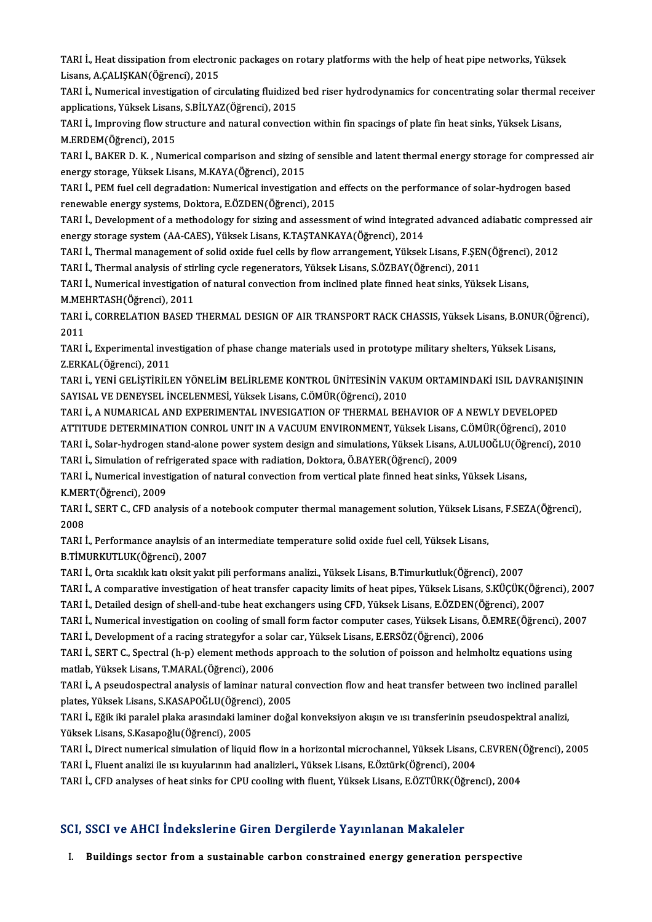TARI İ., Heat dissipation from electronic packages on rotary platforms with the help of heat pipe networks, Yüksek<br>Lisans, A.CALISKAN(Öğmənsi), 2015 TARI İ., Heat dissipation from electro<br>Lisans, A.ÇALIŞKAN(Öğrenci), 2015<br>TABLİ, Numerisel investisation ef si TARI İ., Heat dissipation from electronic packages on rotary platforms with the help of heat pipe networks, Yüksek<br>Lisans, A.ÇALIŞKAN(Öğrenci), 2015<br>TARI İ., Numerical investigation of circulating fluidized bed riser hydro

Lisans, A.ÇALIŞKAN(Öğrenci), 2015<br>TARI İ., Numerical investigation of circulating fluidized<br>applications, Yüksek Lisans, S.BİLYAZ(Öğrenci), 2015<br>TARLİ, İmpreving flow structure and natural sonyesti TARI İ., Numerical investigation of circulating fluidized bed riser hydrodynamics for concentrating solar thermal receiver<br>applications, Yüksek Lisans, S.BİLYAZ(Öğrenci), 2015<br>TARI İ., Improving flow structure and natural

applications, Yüksek Lisans<br>TARI İ., Improving flow str<br>M.ERDEM(Öğrenci), 2015<br>TABLİ, BAKER D. K., Num TARI İ., Improving flow structure and natural convection within fin spacings of plate fin heat sinks, Yüksek Lisans,<br>M.ERDEM(Öğrenci), 2015<br>TARI İ., BAKER D. K. , Numerical comparison and sizing of sensible and latent ther

M.ERDEM(Öğrenci), 2015<br>TARI İ., BAKER D. K. , Numerical comparison and sizing of<br>energy storage, Yüksek Lisans, M.KAYA(Öğrenci), 2015<br>TARLL REM fuel cell degradation: Numerical investigatio TARI İ., BAKER D. K. , Numerical comparison and sizing of sensible and latent thermal energy storage for compresse<br>energy storage, Yüksek Lisans, M.KAYA(Öğrenci), 2015<br>TARI İ., PEM fuel cell degradation: Numerical investig

energy storage, Yüksek Lisans, M.KAYA(Öğrenci), 2015<br>TARI İ., PEM fuel cell degradation: Numerical investigation and effects on the performance of solar-hydrogen based<br>renewable energy systems, Doktora, E.ÖZDEN(Öğrenci), 2 TARI İ., PEM fuel cell degradation: Numerical investigation and effects on the performance of solar-hydrogen based<br>renewable energy systems, Doktora, E.ÖZDEN(Öğrenci), 2015<br>TARI İ., Development of a methodology for sizing

renewable energy systems, Doktora, E.ÖZDEN(Öğrenci), 2015<br>TARI İ., Development of a methodology for sizing and assessment of wind integrate<br>energy storage system (AA-CAES), Yüksek Lisans, K.TAŞTANKAYA(Öğrenci), 2014<br>TABLL, TARI İ., Development of a methodology for sizing and assessment of wind integrated advanced adiabatic compres<br>energy storage system (AA-CAES), Yüksek Lisans, K.TAŞTANKAYA(Öğrenci), 2014<br>TARI İ., Thermal management of solid energy storage system (AA-CAES), Yüksek Lisans, K.TAŞTANKAYA(Öğrenci), 2014<br>TARI İ., Thermal management of solid oxide fuel cells by flow arrangement, Yüksek Lisans, F.ŞEI<br>TARI İ., Thermal analysis of stirling cycle regene

TARI İ., Thermal management of solid oxide fuel cells by flow arrangement, Yüksek Lisans, F.ŞEN(Öğrenci), 2012<br>TARI İ., Thermal analysis of stirling cycle regenerators, Yüksek Lisans, S.ÖZBAY(Öğrenci), 2011<br>TARI İ., Numeri

TARI İ., Thermal analysis of stir<br>TARI İ., Numerical investigatior<br>M.MEHRTASH(Öğrenci), 2011<br>TARLİ, CORRELATION BASED : TARI İ., Numerical investigation of natural convection from inclined plate finned heat sinks, Yüksek Lisans,<br>M.MEHRTASH(Öğrenci), 2011<br>TARI İ., CORRELATION BASED THERMAL DESIGN OF AIR TRANSPORT RACK CHASSIS, Yüksek Lisans,

M.MEHRTASH(Öğrenci), 2011<br>TARI İ., CORRELATION BASED THERMAL DESIGN OF AIR TRANSPORT RACK CHASSIS, Yüksek Lisans, B.ONUR(Ö)<br>2011<br>TARI İ., Experimental investigation of phase change materials used in prototype military shel TARI İ., CORRELATION BASED THERMAL DESIGN OF AIR TRANSPORT RACK CHASSIS, Yüksek Lisans, B.ONUR(Ö)<br>2011<br>TARI İ., Experimental investigation of phase change materials used in prototype military shelters, Yüksek Lisans,<br>Z.ERK

Z.ERKAL(Öğrenci),2011 TARI İ., Experimental investigation of phase change materials used in prototype military shelters, Yüksek Lisans,<br>Z.ERKAL(Öğrenci), 2011<br>TARI İ., YENİ GELİŞTİRİLEN YÖNELİM BELİRLEME KONTROL ÜNİTESİNİN VAKUM ORTAMINDAKİ ISI

Z.ERKAL(Öğrenci), 2011<br>TARI İ., YENİ GELİŞTİRİLEN YÖNELİM BELİRLEME KONTROL ÜNİTESİNİN VAKI<br>SAYISAL VE DENEYSEL İNCELENMESİ, Yüksek Lisans, C.ÖMÜR(Öğrenci), 2010<br>TARLİ -A NUMARICAL AND EYRERIMENTAL INVESICATION OF TUERMAL TARI İ., YENİ GELİŞTİRİLEN YÖNELİM BELİRLEME KONTROL ÜNİTESİNİN VAKUM ORTAMINDAKİ ISIL DAVRANIŞ<br>SAYISAL VE DENEYSEL İNCELENMESİ, Yüksek Lisans, C.ÖMÜR(Öğrenci), 2010<br>TARI İ., A NUMARICAL AND EXPERIMENTAL INVESIGATION OF TH

SAYISAL VE DENEYSEL İNCELENMESİ, Yüksek Lisans, C.ÖMÜR(Öğrenci), 2010<br>TARI İ., A NUMARICAL AND EXPERIMENTAL INVESIGATION OF THERMAL BEHAVIOR OF A NEWLY DEVELOPED<br>ATTITUDE DETERMINATION CONROL UNIT IN A VACUUM ENVIRONMENT, TARI İ., A NUMARICAL AND EXPERIMENTAL INVESIGATION OF THERMAL BEHAVIOR OF A NEWLY DEVELOPED<br>ATTITUDE DETERMINATION CONROL UNIT IN A VACUUM ENVIRONMENT, Yüksek Lisans, C.ÖMÜR(Öğrenci), 2010<br>TARI İ., Solar-hydrogen stand-alo

ATTITUDE DETERMINATION CONROL UNIT IN A VACUUM ENVIRONMENT, Yüksek Lisans, C.ÖMÜR(Öğrenci), 2010<br>TARI İ., Solar-hydrogen stand-alone power system design and simulations, Yüksek Lisans, A.ULUOĞLU(Öğrenci), 20<br>TARI İ., Simul

TARI İ., Simulation of refrigerated space with radiation, Doktora, Ö.BAYER(Öğrenci), 2009

TARI İ., Solar-hydrogen stand-alone power system design and simulations, Yüksek Lisans, A.ULUOĞLU(Öğrenci), 2010<br>TARI İ., Simulation of refrigerated space with radiation, Doktora, Ö.BAYER(Öğrenci), 2009<br>TARI İ., Numerical TARI İ., Numerical investigation of natural convection from vertical plate finned heat sinks, Yüksek Lisans,<br>K.MERT(Öğrenci), 2009<br>TARI İ., SERT C., CFD analysis of a notebook computer thermal management solution, Yüksek L

KMEF<br>TARI İ<br>2008<br>TARI İ TARI İ., SERT C., CFD analysis of a notebook computer thermal management solution, Yüksek Lisa<br>2008<br>TARI İ., Performance anaylsis of an intermediate temperature solid oxide fuel cell, Yüksek Lisans,<br>P.TIMURKUTI UK(Öğrong),

2008<br>TARI İ., Performance anaylsis of an intermediate temperature solid oxide fuel cell, Yüksek Lisans,<br>B.TİMURKUTLUK(Öğrenci), 2007

TARI İ., Performance anaylsis of an intermediate temperature solid oxide fuel cell, Yüksek Lisans,<br>B.TİMURKUTLUK(Öğrenci), 2007<br>TARI İ., Orta sıcaklık katı oksit yakıt pili performans analizi., Yüksek Lisans, B.Timurkutluk

B.TİMURKUTLUK(Öğrenci), 2007<br>TARI İ., Orta sıcaklık katı oksit yakıt pili performans analizi., Yüksek Lisans, B.Timurkutluk(Öğrenci), 2007<br>TARI İ., A comparative investigation of heat transfer capacity limits of heat pipes TARI İ., Orta sıcaklık katı oksit yakıt pili performans analizi., Yüksek Lisans, B.Timurkutluk(Öğrenci), 2007<br>TARI İ., A comparative investigation of heat transfer capacity limits of heat pipes, Yüksek Lisans, S.KÜÇÜK(Öğre

TARI İ., Detailed design of shell-and-tube heat exchangers using CFD, Yüksek Lisans, E.ÖZDEN(Öğrenci), 2007

TARI İ., A comparative investigation of heat transfer capacity limits of heat pipes, Yüksek Lisans, S.KÜÇÜK(Öğrenci), 2007<br>TARI İ., Detailed design of shell-and-tube heat exchangers using CFD, Yüksek Lisans, E.ÖZDEN(Öğrenc

TARI İ., Numerical investigation on cooling of small form factor computer cases, Yüksek Lisans, Ö.EMRE(Öğrenci), 20<br>TARI İ., Development of a racing strategyfor a solar car, Yüksek Lisans, E.ERSÖZ(Öğrenci), 2006<br>TARI İ., S TARI İ., Development of a racing strategyfor a sol<br>TARI İ., SERT C., Spectral (h-p) element methods<br>matlab, Yüksek Lisans, T.MARAL(Öğrenci), 2006<br>TABLİ, A nequisenestral analysis of laminar natı TARI İ., SERT C., Spectral (h-p) element methods approach to the solution of poisson and helmholtz equations using<br>matlab, Yüksek Lisans, T.MARAL(Öğrenci), 2006<br>TARI İ., A pseudospectral analysis of laminar natural convect

matlab, Yüksek Lisans, T.MARAL(Öğrenci), 2006<br>TARI İ., A pseudospectral analysis of laminar natural<br>plates, Yüksek Lisans, S.KASAPOĞLU(Öğrenci), 2005<br>TABLL, Eğik iki paralal plaka arasındaki laminar doğa TARI İ., A pseudospectral analysis of laminar natural convection flow and heat transfer between two inclined parall<br>plates, Yüksek Lisans, S.KASAPOĞLU(Öğrenci), 2005<br>TARI İ., Eğik iki paralel plaka arasındaki laminer doğal

plates, Yüksek Lisans, S.KASAPOĞLU(Öğrenc<br>TARI İ., Eğik iki paralel plaka arasındaki lami<br>Yüksek Lisans, S.Kasapoğlu(Öğrenci), 2005<br>TABLİ, Divest numerisel simulation ef liauid TARI İ., Eğik iki paralel plaka arasındaki laminer doğal konveksiyon akışın ve ısı transferinin pseudospektral analizi,<br>Yüksek Lisans, S.Kasapoğlu(Öğrenci), 2005<br>TARI İ., Direct numerical simulation of liquid flow in a hor

Yüksek Lisans, S.Kasapoğlu(Öğrenci), 2005<br>TARI İ., Direct numerical simulation of liquid flow in a horizontal microchannel, Yüksek Lisans, C.EVREN(Öğrenci), 2005<br>TARI İ., Fluent analizi ile ısı kuyularının had analizleri.,

TARI İ., CFD analyses of heat sinks for CPU cooling with fluent, Yüksek Lisans, E.ÖZTÜRK(Öğrenci), 2004

#### SCI, SSCI ve AHCI İndekslerine Giren Dergilerde Yayınlanan Makaleler

I. Buildings sector froma sustainable carbon constrained energy generation perspective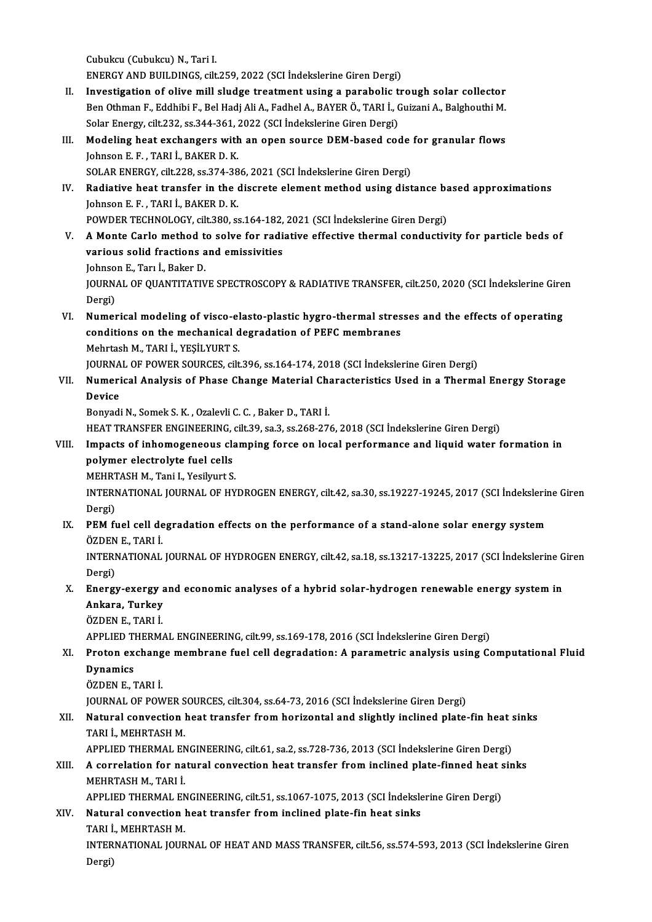Cubukcu (Cubukcu) N., Tari I.

ENERGY AND BUILDINGS, cilt.259, 2022 (SCI İndekslerine Giren Dergi)

- II. Investigation of olive mill sludge treatment using a parabolic trough solar collector ENERGY AND BUILDINGS, cilt.259, 2022 (SCI İndekslerine Giren Dergi)<br>Investigation of olive mill sludge treatment using a parabolic trough solar collector<br>Ben Othman F., Eddhibi F., Bel Hadj Ali A., Fadhel A., BAYER Ö., TAR Investigation of olive mill sludge treatment using a parabolic t<br>Ben Othman F., Eddhibi F., Bel Hadj Ali A., Fadhel A., BAYER Ö., TARI İ., (<br>Solar Energy, cilt.232, ss.344-361, 2022 (SCI İndekslerine Giren Dergi)<br>Medeling Ben Othman F., Eddhibi F., Bel Hadj Ali A., Fadhel A., BAYER Ö., TARI İ., Guizani A., Balghouthi M.<br>Solar Energy, cilt.232, ss.344-361, 2022 (SCI İndekslerine Giren Dergi)<br>III. Modeling heat exchangers with an open source
- Solar Energy, cilt.232, ss.344-361, 2022 (SCI Indekslerine Giren Dergi)<br>Modeling heat exchangers with an open source DEM-based code<br>Johnson E. F. , TARI İ., BAKER D. K.<br>SOLAR ENERGY, cilt.228, ss.374-386, 2021 (SCI Indeksl Modeling heat exchangers with an open source DEM-based code<br>Johnson E. F., TARI İ., BAKER D. K.<br>SOLAR ENERGY, cilt.228, ss.374-386, 2021 (SCI İndekslerine Giren Dergi)<br>Padiative beat transfer in the diserate element method Johnson E. F., TARI İ., BAKER D. K.<br>SOLAR ENERGY, cilt.228, ss.374-386, 2021 (SCI İndekslerine Giren Dergi)<br>IV. Radiative heat transfer in the discrete element method using distance based approximations<br>Johnson E. E., TABL
- SOLAR ENERGY, cilt.228, ss.374-38<br>**Radiative heat transfer in the (**<br>Johnson E. F. , TARI İ., BAKER D. K.<br>POWDER TECHNOLOCY, silt 380, ss Radiative heat transfer in the discrete element method using distance bayon (and the discrete element method using distance bayon)<br>POWDER TECHNOLOGY, cilt.380, ss.164-182, 2021 (SCI İndekslerine Giren Dergi)<br>A Monto Carlo POWDER TECHNOLOGY, cilt.380, ss.164-182, 2021 (SCI İndekslerine Giren Dergi)
- Johnson E. F., TARI İ., BAKER D. K.<br>POWDER TECHNOLOGY, cilt.380, ss.164-182, 2021 (SCI İndekslerine Giren Dergi)<br>V. A Monte Carlo method to solve for radiative effective thermal conductivity for particle beds of<br>various so

JohnsonE.,Tarı İ.,BakerD.

various solid fractions and emissivities<br>Johnson E., Tarı İ., Baker D.<br>JOURNAL OF QUANTITATIVE SPECTROSCOPY & RADIATIVE TRANSFER, cilt.250, 2020 (SCI İndekslerine Giren<br>Dergi) Johnso<br>JOURN<br>Dergi)<br>Numer JOURNAL OF QUANTITATIVE SPECTROSCOPY & RADIATIVE TRANSFER, cilt.250, 2020 (SCI indekslerine Gire<br>Dergi)<br>VI. Numerical modeling of visco-elasto-plastic hygro-thermal stresses and the effects of operating<br>conditions on the m

Dergi)<br>Numerical modeling of visco-elasto-plastic hygro-thermal stres<br>conditions on the mechanical degradation of PEFC membranes<br>Mehrtash M. TAPLL VESU VUPT S Numerical modeling of visco-el<br>conditions on the mechanical d<br>Mehrtash M., TARI İ., YEŞİLYURT S.<br>JOUPNAL OF POWER SOURCES, silt conditions on the mechanical degradation of PEFC membranes<br>Mehrtash M., TARI İ., YEŞİLYURT S.<br>JOURNAL OF POWER SOURCES, cilt.396, ss.164-174, 2018 (SCI İndekslerine Giren Dergi)<br>Numerisal Analysia of Phase Change Metarial Mehrtash M., TARI İ., YEŞİLYURT S.<br>JOURNAL OF POWER SOURCES, cilt.396, ss.164-174, 2018 (SCI İndekslerine Giren Dergi)<br>VII. Numerical Analysis of Phase Change Material Characteristics Used in a Thermal Energy Storage<br>D

JOURNA<br><mark>Numer</mark>i<br>Device<br><sup>Ronvodi</sup> **Numerical Analysis of Phase Change Material Ch.<br>Device<br>Bonyadi N., Somek S. K. , Ozalevli C. C. , Baker D., TARI İ.<br>HEAT TRANSEER ENCINEERING, gilt 20, 82, 83, 26, 26, 27.** Device<br>Bonyadi N., Somek S. K. , Ozalevli C. C. , Baker D., TARI İ.<br>HEAT TRANSFER ENGINEERING, cilt.39, sa.3, ss.268-276, 2018 (SCI İndekslerine Giren Dergi)<br>Imnasts of inhamaganaeus slamning forse on lasal narformanse and

Bonyadi N., Somek S. K. , Ozalevli C. C. , Baker D., TARI İ.<br>HEAT TRANSFER ENGINEERING, cilt.39, sa.3, ss.268-276, 2018 (SCI İndekslerine Giren Dergi)<br>VIII. Impacts of inhomogeneous clamping force on local performance and HEAT TRANSFER ENGINEERING,<br>Impacts of inhomogeneous cla<br>polymer electrolyte fuel cells<br>MEUPTASH M. Tani L. Yosilmut S Impacts of inhomogeneous cla<br>polymer electrolyte fuel cells<br>MEHRTASH M., Tani I., Yesilyurt S.<br>INTERNATIONAL JOURNAL OF UV

INTERNATIONAL JOURNAL OF HYDROGEN ENERGY, cilt.42, sa.30, ss.19227-19245, 2017 (SCI İndekslerine Giren<br>Dergi) MEHRT<br>INTERI<br>Dergi)<br>PEM-fi INTERNATIONAL JOURNAL OF HYDROGEN ENERGY, cilt.42, sa.30, ss.19227-19245, 2017 (SCI İndekslerin<br>Dergi)<br>IX. PEM fuel cell degradation effects on the performance of a stand-alone solar energy system<br>ÖZDEN E. TABLİ

Dergi)<br><mark>PEM fuel cell de</mark><br>ÖZDEN E., TARI İ.<br>INTERNATIONAL PEM fuel cell degradation effects on the performance of a stand-alone solar energy system<br>ÖZDEN E., TARI İ.<br>INTERNATIONAL JOURNAL OF HYDROGEN ENERGY, cilt.42, sa.18, ss.13217-13225, 2017 (SCI İndekslerine Giren<br>Dergi)

ÖZDEN<br>INTERI<br>Dergi)<br>Energi INTERNATIONAL JOURNAL OF HYDROGEN ENERGY, cilt.42, sa.18, ss.13217-13225, 2017 (SCI İndekslerine G<br>Dergi)<br>X. Energy-exergy and economic analyses of a hybrid solar-hydrogen renewable energy system in<br>Ankana Turkay

#### Dergi)<br>Energy-exergy a<br>Ankara, Turkey<br>ÖZDENE, TABLİ Energy-exergy<br>Ankara, Turkey<br>ÖZDEN E., TARI İ.<br>APPLED TUEDM Ankara, Turkey<br>ÖZDEN E., TARI İ.<br>APPLIED THERMAL ENGINEERING, cilt.99, ss.169-178, 2016 (SCI İndekslerine Giren Dergi)

#### ÖZDEN E., TARI İ.<br>APPLIED THERMAL ENGINEERING, cilt.99, ss.169-178, 2016 (SCI İndekslerine Giren Dergi)<br>XI. Proton exchange membrane fuel cell degradation: A parametric analysis using Computational Fluid<br>Dunamics **APPLIED T<br>Proton ex<br>Dynamics<br>ÖZDEN E 1** Proton exchang<br>Dynamics<br>ÖZDEN E., TARI İ.<br>JOUPNAL OF POM Dynamics<br>ÖZDEN E., TARI İ.<br>JOURNAL OF POWER SOURCES, cilt.304, ss.64-73, 2016 (SCI İndekslerine Giren Dergi)<br>Natural convection best transfer from berizental and slightly inclined plate.

### ÖZDEN E., TARI İ.<br>JOURNAL OF POWER SOURCES, cilt.304, ss.64-73, 2016 (SCI İndekslerine Giren Dergi)<br>XII. Natural convection heat transfer from horizontal and slightly inclined plate-fin heat sinks<br>TARLİ MEHRTASH M **JOURNAL OF POWER S<br>Natural convection |<br>TARI İ., MEHRTASH M.<br>APPLIED TUEPMAL EN** Natural convection heat transfer from horizontal and slightly inclined plate-fin heat :<br>TARI İ., MEHRTASH M.<br>APPLIED THERMAL ENGINEERING, cilt.61, sa.2, ss.728-736, 2013 (SCI İndekslerine Giren Dergi)<br>A conrelation for nat

APPLIED THERMAL ENGINEERING, cilt.61, sa.2, ss.728-736, 2013 (SCI İndekslerine Giren Dergi)

## TARI İ., MEHRTASH M.<br>APPLIED THERMAL ENGINEERING, cilt.61, sa.2, ss.728-736, 2013 (SCI İndekslerine Giren Dergi)<br>XIII. A correlation for natural convection heat transfer from inclined plate-finned heat sinks<br>MEHRTASH M A correlation for natural convection heat transfer from inclined plate-finned heat s<br>MEHRTASH M., TARI İ.<br>APPLIED THERMAL ENGINEERING, cilt.51, ss.1067-1075, 2013 (SCI İndekslerine Giren Dergi)<br>Natural convection heat tran

#### XIV. Natural convection heat transfer from inclined plate-fin heat sinks<br>TARI İ., MEHRTASH M. APPLIED THERMAL EN<br>Natural convection |<br>TARI İ., MEHRTASH M.<br>INTERNATIONAL JOUP Natural convection heat transfer from inclined plate-fin heat sinks<br>TARI İ., MEHRTASH M.<br>INTERNATIONAL JOURNAL OF HEAT AND MASS TRANSFER, cilt.56, ss.574-593, 2013 (SCI İndekslerine Giren<br>Dergi)

TARI İ.<br>INTER<br>Dergi)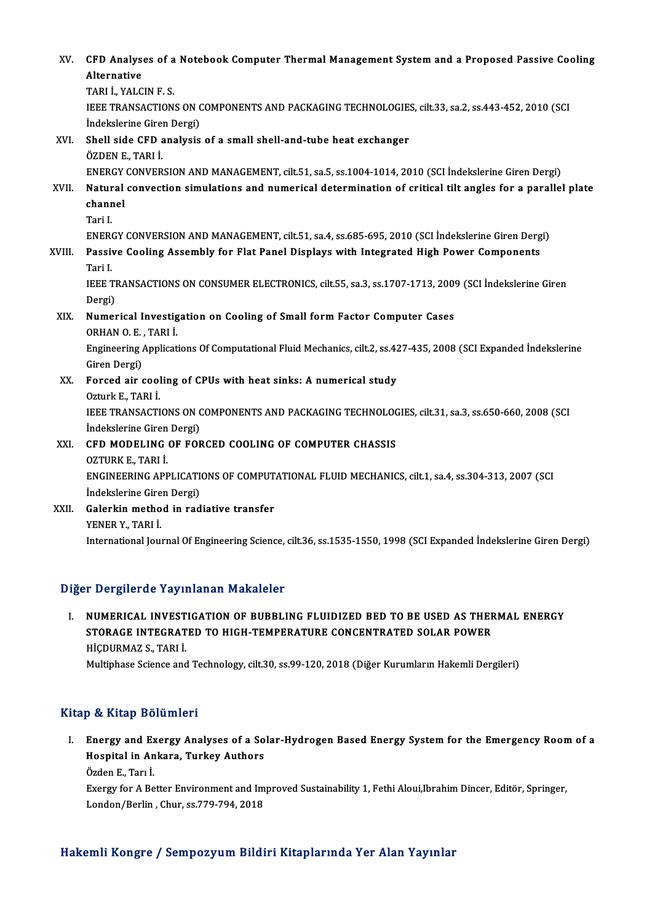| XV.    | CFD Analyses of a Notebook Computer Thermal Management System and a Proposed Passive Cooling                                  |
|--------|-------------------------------------------------------------------------------------------------------------------------------|
|        | Alternative                                                                                                                   |
|        | TARI I, YALCIN F. S.                                                                                                          |
|        | IEEE TRANSACTIONS ON COMPONENTS AND PACKAGING TECHNOLOGIES, cilt.33, sa.2, ss.443-452, 2010 (SCI<br>Indekslerine Giren Dergi) |
| XVI.   | Shell side CFD analysis of a small shell-and-tube heat exchanger                                                              |
|        | ÖZDEN E., TARI İ.                                                                                                             |
|        | ENERGY CONVERSION AND MANAGEMENT, cilt.51, sa.5, ss.1004-1014, 2010 (SCI İndekslerine Giren Dergi)                            |
| XVII.  | Natural convection simulations and numerical determination of critical tilt angles for a parallel plate                       |
|        | channel                                                                                                                       |
|        | Tari I                                                                                                                        |
|        | ENERGY CONVERSION AND MANAGEMENT, cilt.51, sa.4, ss.685-695, 2010 (SCI Indekslerine Giren Dergi)                              |
| XVIII. | Passive Cooling Assembly for Flat Panel Displays with Integrated High Power Components                                        |
|        | Tari I                                                                                                                        |
|        | IEEE TRANSACTIONS ON CONSUMER ELECTRONICS, cilt.55, sa.3, ss.1707-1713, 2009 (SCI Indekslerine Giren                          |
|        | Dergi)                                                                                                                        |
| XIX.   | Numerical Investigation on Cooling of Small form Factor Computer Cases                                                        |
|        | ORHAN O E, TARI İ.                                                                                                            |
|        | Engineering Applications Of Computational Fluid Mechanics, cilt.2, ss.427-435, 2008 (SCI Expanded Indekslerine                |
|        | Giren Dergi)                                                                                                                  |
| XX.    | Forced air cooling of CPUs with heat sinks: A numerical study                                                                 |
|        | Ozturk E., TARI İ.                                                                                                            |
|        | IEEE TRANSACTIONS ON COMPONENTS AND PACKAGING TECHNOLOGIES, cilt.31, sa.3, ss.650-660, 2008 (SCI                              |
|        | İndekslerine Giren Dergi)                                                                                                     |
| XXI.   | CFD MODELING OF FORCED COOLING OF COMPUTER CHASSIS                                                                            |
|        | OZTURK E, TARI İ                                                                                                              |
|        | ENGINEERING APPLICATIONS OF COMPUTATIONAL FLUID MECHANICS, cilt.1, sa.4, ss.304-313, 2007 (SCI                                |
|        | İndekslerine Giren Dergi)                                                                                                     |
| XXII.  | Galerkin method in radiative transfer                                                                                         |
|        | YENER Y., TARI İ.                                                                                                             |

International Journal Of Engineering Science, cilt.36, ss.1535-1550, 1998 (SCI Expanded İndekslerine Giren Dergi)

#### Diğer Dergilerde Yayınlanan Makaleler

Iger Dergilerde Yayınlanan Makaleler<br>I. NUMERICAL INVESTIGATION OF BUBBLING FLUIDIZED BED TO BE USED AS THERMAL ENERGY<br>STORACE INTECRATED TO HICH TEMBERATIIRE CONCENTRATED SOLAR ROWER STORAGE INTEGRATION OF BUBBLING FLUIDIZED BED TO BE USED AS THER<br>STORAGE INTEGRATED TO HIGH-TEMPERATURE CONCENTRATED SOLAR POWER<br>HIGDUPMAZS, TARLI NUMERICAL INVEST<br>STORAGE INTEGRAT<br>HİÇDURMAZ S., TARI İ.<br>Multinhasa Ssiansa and STORAGE INTEGRATED TO HIGH-TEMPERATURE CONCENTRATED SOLAR POWER<br>HIÇDURMAZ S., TARI İ.<br>Multiphase Science and Technology, cilt.30, ss.99-120, 2018 (Diğer Kurumların Hakemli Dergileri)

#### Kitap & Kitap Bölümleri

Itap & Kitap Bölümleri<br>I. Energy and Exergy Analyses of a Solar-Hydrogen Based Energy System for the Emergency Room of a<br>Hespital in Ankare, Turkey Authore p & Krap Bordmior<br>Energy and Exergy Analyses of a So<br>Hospital in Ankara, Turkey Authors<br>Özden E. Tem İ Hospital in Ankara, Turkey Authors<br>Özden E., Tarı İ. Hospital in Ankara, Turkey Authors<br>Özden E., Tarı İ.<br>Exergy for A Better Environment and Improved Sustainability 1, Fethi Aloui,Ibrahim Dincer, Editör, Springer,<br>Landan (Barlin, Chur, 38,779,794, 2019)

Özden E., Tarı İ.<br>Exergy for A Better Environment and Im<br>London/Berlin , Chur, ss.779-794, 2018

# London/Berlin , Chur, ss.779-794, 2018<br>Hakemli Kongre / Sempozyum Bildiri Kitaplarında Yer Alan Yayınlar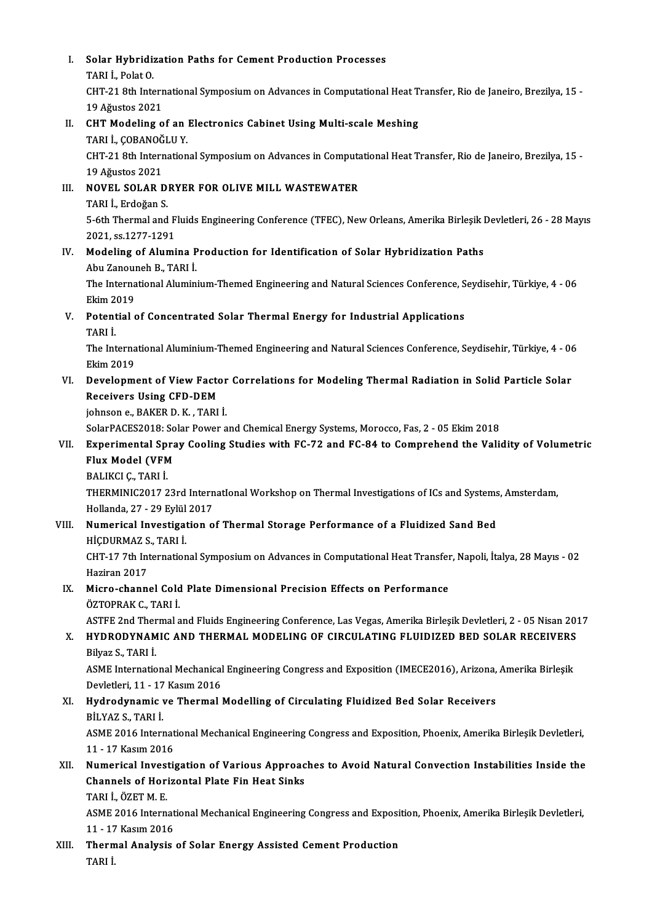I. Solar Hybridization Paths for Cement Production Processes Solar Hybridi;<br>TARI İ., Polat O.<br>CHT 21.9th Inte Solar Hybridization Paths for Cement Production Processes<br>TARI İ., Polat O.<br>CHT-21 8th International Symposium on Advances in Computational Heat Transfer, Rio de Janeiro, Brezilya, 15 -<br>19 Ağustos 2021 TARI İ., Polat O.<br>CHT-21 8th Interr<br>19 Ağustos 2021<br>CHT Modeling o CHT-21 8th International Symposium on Advances in Computational Heat T<br>19 Ağustos 2021<br>II. CHT Modeling of an Electronics Cabinet Using Multi-scale Meshing<br>TABLI COBANOČLU V 19 Ağustos 2021<br>CHT Modeling of an<br>TARI İ., ÇOBANOĞLU Y.<br>CHT 21 9th Internation CHT Modeling of an Electronics Cabinet Using Multi-scale Meshing<br>TARI İ., ÇOBANOĞLU Y.<br>CHT-21 8th International Symposium on Advances in Computational Heat Transfer, Rio de Janeiro, Brezilya, 15 -<br>19 Ağustos 2021 TARI İ., ÇOBANOĞ<br>CHT-21 8th Interr<br>19 Ağustos 2021<br>NOVEL SOLAR E CHT-21 8th International Symposium on Advances in Computa<br>19 Ağustos 2021<br>III. NOVEL SOLAR DRYER FOR OLIVE MILL WASTEWATER<br>TABLI Erdeğan S 19 Ağustos 2021<br>**NOVEL SOLAR D.<br>TARI İ., Erdoğan S.**<br>E. éth Thormal and NOVEL SOLAR DRYER FOR OLIVE MILL WASTEWATER<br>TARI İ., Erdoğan S.<br>5-6th Thermal and Fluids Engineering Conference (TFEC), New Orleans, Amerika Birleşik Devletleri, 26 - 28 Mayıs<br>2021, SS 1277 1291 TARI İ., Erdoğan S.<br>5-6th Thermal and F<br>2021, ss.1277-1291<br>Modeling of Alumi 5-6th Thermal and Fluids Engineering Conference (TFEC), New Orleans, Amerika Birleşik I<br>2021, ss.1277-1291<br>IV. Modeling of Alumina Production for Identification of Solar Hybridization Paths<br>Aby Zanounah B. TABLI 2021, ss.1277-1291<br>IV. Modeling of Alumina Production for Identification of Solar Hybridization Paths The International Aluminium-Themed Engineering and Natural Sciences Conference, Seydisehir, Türkiye, 4 - 06<br>Ekim 2019 Abu Zanouneh B., TARI İ. The International Aluminium-Themed Engineering and Natural Sciences Conference, S<br>Ekim 2019<br>V. Potential of Concentrated Solar Thermal Energy for Industrial Applications<br>TABLI Ekim 2<br>Potent<br>TARI İ.<br>The Int Potential of Concentrated Solar Thermal Energy for Industrial Applications<br>TARI İ.<br>The International Aluminium-Themed Engineering and Natural Sciences Conference, Seydisehir, Türkiye, 4 - 06<br>Flim 2010 TARI İ.<br>The Interna<br>Ekim 2019<br>Develonm The International Aluminium-Themed Engineering and Natural Sciences Conference, Seydisehir, Türkiye, 4 - 06<br>Ekim 2019<br>VI. Development of View Factor Correlations for Modeling Thermal Radiation in Solid Particle Solar<br>Bessi Ekim 2019<br>VI. Development of View Factor Correlations for Modeling Thermal Radiation in Solid Particle Solar<br>Receivers Using CFD-DEM johnsone.,BAKERD.K. ,TARI İ. Receivers Using CFD-DEM<br>johnson e., BAKER D. K. , TARI İ.<br>SolarPACES2018: Solar Power and Chemical Energy Systems, Morocco, Fas, 2 - 05 Ekim 2018<br>Experimental Spray Cooling Studies with EC 32 and EC 84 to Comprehend the Va johnson e., BAKER D. K. , TARI İ.<br>SolarPACES2018: Solar Power and Chemical Energy Systems, Morocco, Fas, 2 - 05 Ekim 2018<br>VII. Experimental Spray Cooling Studies with FC-72 and FC-84 to Comprehend the Validity of Volum SolarPACES2018: So<br>Experimental Spra<br>Flux Model (VFM<br>PALIYCLC TAPLI Experimental Spi<br>Flux Model (VFM<br>BALIKCI Ç., TARI İ.<br>THERMINIC2017 2 Flux Model (VFM<br>BALIKCI Ç., TARI İ.<br>THERMINIC2017 23rd InternatIonal Workshop on Thermal Investigations of ICs and Systems, Amsterdam, BALIKCI Ç., TARI İ.<br>THERMINIC2017 23rd Intern<br>Hollanda, 27 - 29 Eylül 2017<br>Numerical Investisation e VIII. Numerical Investigation of Thermal Storage Performance of a Fluidized Sand Bed<br>HICDURMAZ S., TARI I. Hollanda, 27 - 29 Eylül<br><mark>Numerical Investiga</mark>t<br>HİÇDURMAZ S., TARI İ.<br>CHT 17 7th Internation Numerical Investigation of Thermal Storage Performance of a Fluidized Sand Bed<br>HİÇDURMAZ S., TARI İ.<br>CHT-17 7th International Symposium on Advances in Computational Heat Transfer, Napoli, İtalya, 28 Mayıs - 02<br>Hariran 2017 HİÇDURMAZ S<br>CHT-17 7th Int<br>Haziran 2017<br>Misne shann CHT-17 7th International Symposium on Advances in Computational Heat Transfer<br>Haziran 2017<br>IX. Micro-channel Cold Plate Dimensional Precision Effects on Performance<br>ÖZTOPRAK C. TARLİ Haziran 2017<br>IX. Micro-channel Cold Plate Dimensional Precision Effects on Performance<br>ÖZTOPRAK C., TARI İ. Micro-channel Cold Plate Dimensional Precision Effects on Performance<br>ÖZTOPRAK C., TARI İ.<br>ASTFE 2nd Thermal and Fluids Engineering Conference, Las Vegas, Amerika Birleşik Devletleri, 2 - 05 Nisan 2017<br>HYDRODYNAMIC AND THE ÖZTOPRAK C., TARI İ.<br>ASTFE 2nd Thermal and Fluids Engineering Conference, Las Vegas, Amerika Birleşik Devletleri, 2 - 05 Nisan 20:<br>X. HYDRODYNAMIC AND THERMAL MODELING OF CIRCULATING FLUIDIZED BED SOLAR RECEIVERS<br>Rikas ASTFE 2nd Ther<br>HYDRODYNAM<br>Bilyaz S., TARI İ.<br>ASME Internatio HYDRODYNAMIC AND THERMAL MODELING OF CIRCULATING FLUIDIZED BED SOLAR RECEIVERS<br>Bilyaz S., TARI İ.<br>ASME International Mechanical Engineering Congress and Exposition (IMECE2016), Arizona, Amerika Birleşik<br>Devletleri 11, 17 K Bilyaz S., TARI İ.<br>ASME International Mechanical Engineering Congress and Exposition (IMECE2016), Arizona, Amerika Birleşik<br>Devletleri, 11 - 17 Kasım 2016 ASME International Mechanical Engineering Congress and Exposition (IMECE2016), Arizona,<br>Devletleri, 11 - 17 Kasım 2016<br>XI. Hydrodynamic ve Thermal Modelling of Circulating Fluidized Bed Solar Receivers<br>PUVAZ S. TABLİ Devletleri, 11 - 17<br><mark>Hydrodynamic</mark><br>BİLYAZ S., TARI İ.<br>ASME 2016 Inter Hydrodynamic ve Thermal Modelling of Circulating Fluidized Bed Solar Receivers<br>BİLYAZ S., TARI İ.<br>ASME 2016 International Mechanical Engineering Congress and Exposition, Phoenix, Amerika Birleşik Devletleri,<br>11 . 17 Kesum 11 Bilyaz S., TARI<br>11 - 17 Kasım 2016<br>11 - 17 Kasım 2016<br>Numerisal Investi ASME 2016 International Mechanical Engineering Congress and Exposition, Phoenix, Amerika Birleşik Devletleri,<br>11 - 17 Kasım 2016<br>XII. Numerical Investigation of Various Approaches to Avoid Natural Convection Instabilities 11 - 17 Kasım 2016<br>Numerical Investigation of Various Approac<br>Channels of Horizontal Plate Fin Heat Sinks<br>TARLL ÖZET M.E Channels of Horizontal Plate Fin Heat Sinks<br>TARI İ., ÖZET M. E. Channels of Horizontal Plate Fin Heat Sinks<br>TARI İ., ÖZET M. E.<br>ASME 2016 International Mechanical Engineering Congress and Exposition, Phoenix, Amerika Birleşik Devletleri, TARI İ., ÖZET M. E.<br>ASME 2016 Internat<br>11 - 17 Kasım 2016<br>Thermal Analysis ASME 2016 International Mechanical Engineering Congress and Exposi<br>11 - 17 Kasım 2016<br>XIII. Thermal Analysis of Solar Energy Assisted Cement Production<br>TAPLI 11 - 17 Kasım 2016<br>Thermal Analysis of Solar Energy Assisted Cement Production<br>TARI İ.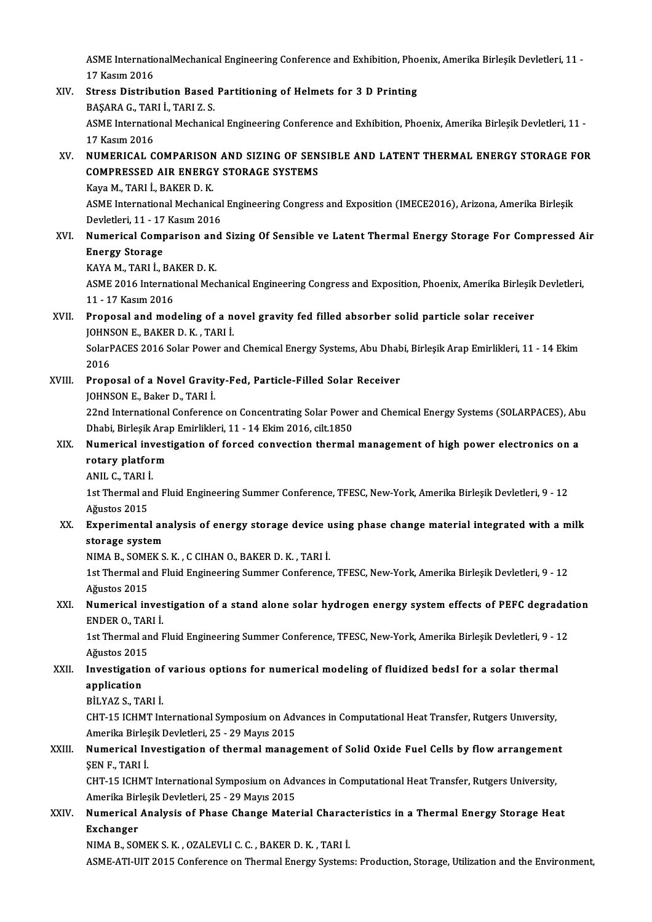ASME InternationalMechanical Engineering Conference and Exhibition, Phoenix, Amerika Birleşik Devletleri, 11 -<br>17 Kasım 2016 ASME Internation<br>17 Kasım 2016<br>Stroce Distribi ASME InternationalMechanical Engineering Conference and Exhibition, Pho<br>17 Kasım 2016<br>XIV. Stress Distribution Based Partitioning of Helmets for 3 D Printing<br>PASARA C TABLI TABLZ S

- 17 Kasım 2016<br>XIV. Stress Distribution Based Partitioning of Helmets for 3 D Printing<br>BAŞARA G., TARI İ., TARI Z. S. Stress Distribution Based Partitioning of Helmets for 3 D Printing<br>BAŞARA G., TARI İ., TARI Z. S.<br>ASME International Mechanical Engineering Conference and Exhibition, Phoenix, Amerika Birleşik Devletleri, 11 -<br>17 Kasım 201 **BAŞARA G., TAR<br>ASME Internatio<br>17 Kasım 2016<br>NUMERICAL G** ASME International Mechanical Engineering Conference and Exhibition, Phoenix, Amerika Birleşik Devletleri, 11 -<br>17 Kasım 2016<br>XV. NUMERICAL COMPARISON AND SIZING OF SENSIBLE AND LATENT THERMAL ENERGY STORAGE FOR
- 17 Kasım 2016<br>NUMERICAL COMPARISON AND SIZING OF SEN<br>COMPRESSED AIR ENERGY STORAGE SYSTEMS<br>Kava M. TARLİ, RAKER D. K NUMERICAL COMPARISON<br>COMPRESSED AIR ENERGY<br>Kaya M., TARI İ., BAKER D. K.<br>ASME International Mechanis

COMPRESSED AIR ENERGY STORAGE SYSTEMS<br>Kaya M., TARI İ., BAKER D. K.<br>ASME International Mechanical Engineering Congress and Exposition (IMECE2016), Arizona, Amerika Birleşik<br>Devlatleri 11, 17 Kesum 2016 Kaya M., TARI İ., BAKER D. K.<br>ASME International Mechanical<br>Devletleri, 11 - 17 Kasım 2016<br>Numarical Camparisan and Devletleri, 11 - 17 Kasım 2016

XVI. Numerical Comparison and Sizing Of Sensible ve Latent Thermal Energy Storage For Compressed Air **Numerical Comparison and<br>Energy Storage<br>KAYA M., TARI İ., BAKER D. K.<br>ASME 2016 International Mea** 

ASME 2016 International Mechanical Engineering Congress and Exposition, Phoenix, Amerika Birleşik Devletleri,<br>11 - 17 Kasım 2016 KAYA M., TARI İ., BA<br>ASME 2016 Internat<br>11 - 17 Kasım 2016<br>Proposel and mod ASME 2016 International Mechanical Engineering Congress and Exposition, Phoenix, Amerika Birleşik<br>11 - 17 Kasım 2016<br>XVII. Proposal and modeling of a novel gravity fed filled absorber solid particle solar receiver<br>IQUNSON

## 11 - 17 Kasım 2016<br>Proposal and modeling of a no<br>JOHNSON E., BAKER D. K. , TARI İ.<br>SelarPACES 2016 Selar Pewer an Proposal and modeling of a novel gravity fed filled absorber solid particle solar receiver<br>JOHNSON E., BAKER D. K. , TARI İ.<br>SolarPACES 2016 Solar Power and Chemical Energy Systems, Abu Dhabi, Birleşik Arap Emirlikleri, 11

JOHNS<br>SolarF<br>2016<br>Prons SolarPACES 2016 Solar Power and Chemical Energy Systems, Abu Dhab<br>2016<br>XVIII. Proposal of a Novel Gravity-Fed, Particle-Filled Solar Receiver<br>JOHNSON E, Pakar D, TABLİ

2016<br>Proposal of a Novel Gravi<br>JOHNSON E., Baker D., TARI İ.<br>22nd International Conferenc

Proposal of a Novel Gravity-Fed, Particle-Filled Solar Receiver<br>JOHNSON E., Baker D., TARI İ.<br>22nd International Conference on Concentrating Solar Power and Chemical Energy Systems (SOLARPACES), Abu<br>Dhabi Pirlesik Arap Emi JOHNSON E., Baker D., TARI İ.<br>22nd International Conference on Concentrating Solar Powe<br>Dhabi, Birleşik Arap Emirlikleri, 11 - 14 Ekim 2016, cilt.1850<br>Numerisel investigation of forsed sonvestion thermal 22nd International Conference on Concentrating Solar Power and Chemical Energy Systems (SOLARPACES), Ab<br>Dhabi, Birleşik Arap Emirlikleri, 11 - 14 Ekim 2016, cilt.1850<br>XIX. Numerical investigation of forced convection therm

#### Dhabi, Birleşik Arap Emirlikleri, 11 - 14 Ekim 2016, cilt.1850<br>Numerical investigation of forced convection thermal<br>rotary platform Numerical investigation of forced convection thermal management of high power electronics on a

ANIL C. TARI İ

1st Thermal and Fluid Engineering Summer Conference, TFESC, New-York, Amerika Birleşik Devletleri, 9 - 12<br>Ağustos 2015 1st Thermal and Fluid Engineering Summer Conference, TFESC, New-York, Amerika Birleşik Devletleri, 9 - 12<br>Ağustos 2015<br>XX. Experimental analysis of energy storage device using phase change material integrated with a milk<br>A

## Ağustos 2015<br><mark>Experimental an</mark><br>storage system<br>NIMA P. SOMEV S Experimental analysis of energy storage device u<br>storage system<br>NIMA B., SOMEK S. K. , C CIHAN 0., BAKER D. K. , TARI İ.<br>1st Thermal and Eluid Engineering Summar Conference

storage system<br>NIMA B., SOMEK S. K. , C CIHAN O., BAKER D. K. , TARI İ.<br>1st Thermal and Fluid Engineering Summer Conference, TFESC, New-York, Amerika Birleşik Devletleri, 9 - 12<br>Ağustos 2015 NIMA B., SOME<br>1st Thermal ar<br>Ağustos 2015<br>Numenisal in 1st Thermal and Fluid Engineering Summer Conference, TFESC, New-York, Amerika Birleşik Devletleri, 9 - 12<br>Ağustos 2015<br>XXI. Numerical investigation of a stand alone solar hydrogen energy system effects of PEFC degradation<br>

## Ağustos 2015<br>Numerical inves<br>ENDER 0., TARI İ.<br>1st Thermal and I Numerical investigation of a stand alone solar hydrogen energy system effects of PEFC degradat<br>ENDER 0., TARI İ.<br>1st Thermal and Fluid Engineering Summer Conference, TFESC, New-York, Amerika Birleşik Devletleri, 9 - 12<br>Ağu

ENDER O., TARI İ.<br>1st Thermal and Fluid Engineering Summer Conference, TFESC, New-York, Amerika Birleşik Devletleri, 9 - 12 1st Thermal and Fluid Engineering Summer Conference, TFESC, New-York, Amerika Birleşik Devletleri, 9 - 1<br>Ağustos 2015<br>XXII. Investigation of various options for numerical modeling of fluidized bedsI for a solar thermal<br>App

## Ağustos 2015<br>Investigation of<br>application<br>BİLYAZ S., TARI İ. Investigation of<br>application<br>BİLYAZ S., TARI İ.<br>CHT 15 ICHMT İn

application<br>BİLYAZ S., TARI İ.<br>CHT-15 ICHMT International Symposium on Advances in Computational Heat Transfer, Rutgers University,<br>Amerika Pirlesik Devletleri, 25 – 29 Mevrs 2015 BİLYAZ S., TARI İ.<br>CHT-15 ICHMT International Symposium on Adv<br>Amerika Birleşik Devletleri, 25 - 29 Mayıs 2015<br>Numerisal Investisation of thermal manas CHT-15 ICHMT International Symposium on Advances in Computational Heat Transfer, Rutgers University,<br>Amerika Birleşik Devletleri, 25 - 29 Mayıs 2015<br>XXIII. Numerical Investigation of thermal management of Solid Oxide Fuel

## Amerika Birleşik Devletleri, 25 - 29 Mayıs 2015<br>Numerical Investigation of thermal manag<br>SEN F.. TARI İ. Numerical Investigation of thermal management of Solid Oxide Fuel Cells by flow arrangemen<br>ŞEN F., TARI İ.<br>CHT-15 ICHMT International Symposium on Advances in Computational Heat Transfer, Rutgers University,<br>Amerika Birles

CHT-15 ICHMT International Symposium on Advances in Computational Heat Transfer, Rutgers University,<br>Amerika Birleşik Devletleri, 25 - 29 Mayıs 2015 CHT-15 ICHMT International Symposium on Advances in Computational Heat Transfer, Rutgers University,<br>Amerika Birleşik Devletleri, 25 - 29 Mayıs 2015<br>XXIV. Numerical Analysis of Phase Change Material Characteristics in a Th

## Amerika Birl<br>Numerical<br>Exchanger<br>NIMA B. SOI Numerical Analysis of Phase Change Material Charac<br>Exchanger<br>NIMA B., SOMEK S. K. , OZALEVLI C. C. , BAKER D. K. , TARI İ.<br>ASME ATI UIT 2015 Conference en Thermal Energy System

**Exchanger**<br>NIMA B., SOMEK S. K. , OZALEVLI C. C. , BAKER D. K. , TARI İ.<br>ASME-ATI-UIT 2015 Conference on Thermal Energy Systems: Production, Storage, Utilization and the Environment,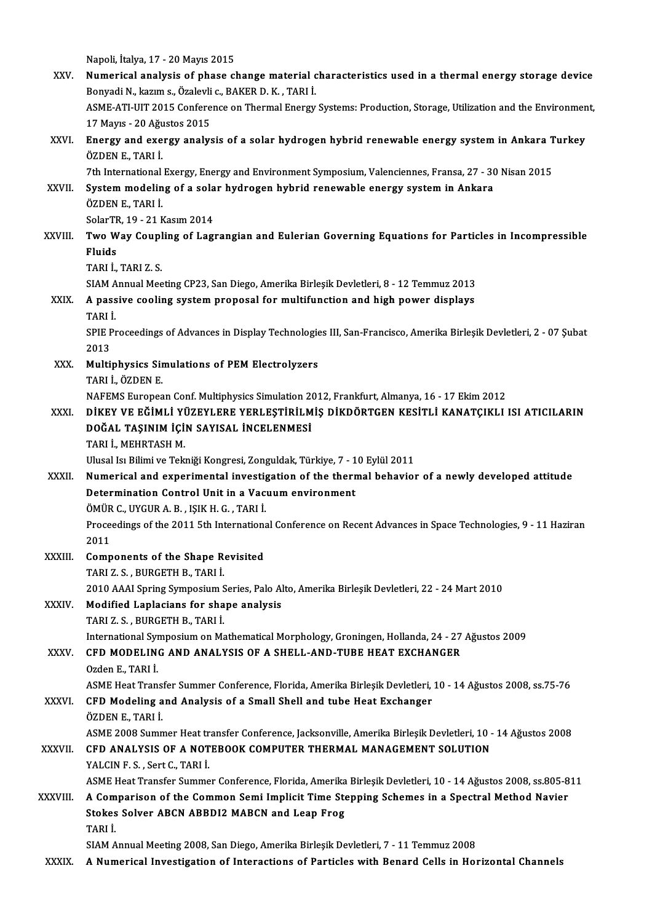Napoli, İtalya, 17 - 20 Mayıs 2015 XXV. Numerical analysis of phase change material characteristics used in a thermal energy storage device Napoli, İtalya, 17 - 20 Mayıs 2015<br>**Numerical analysis of phase change material c.**<br>Bonyadi N., kazım s., Özalevli c., BAKER D. K. , TARI İ.<br>ASME ATI UIT 2015 Conforence en Thermal Frerey. ASME-ATI-UIT 2015 Conference on Thermal Energy Systems: Production, Storage, Utilization and the Environment, Bonyadi N., kazım s., Özalevli<br>ASME-ATI-UIT 2015 Confere<br>17 Mayıs - 20 Ağustos 2015<br>Energy and exergy analys ASME-ATI-UIT 2015 Conference on Thermal Energy Systems: Production, Storage, Utilization and the Environmen<br>17 Mayıs - 20 Ağustos 2015<br>XXVI. Energy and exergy analysis of a solar hydrogen hybrid renewable energy system in 17 Mayıs - 20 Ağustos 2015<br>Energy and exergy analysis of a solar hydrogen hybrid renewable energy system in Ankara 1<br>ÖZDEN E., TARI İ.<br>7th International Exergy, Energy and Environment Symposium, Valenciennes, Fransa, 27 - Energy and exergy analysis of a solar hydrogen hybrid renewable energy system in Ankara T<br>ÖZDEN E., TARI İ.<br>7th International Exergy, Energy and Environment Symposium, Valenciennes, Fransa, 27 - 30 Nisan 2015<br>System modeli ÖZDEN E., TARI İ.<br>7th International Exergy, Energy and Environment Symposium, Valenciennes, Fransa, 27 - 30<br>XXVII. System modeling of a solar hydrogen hybrid renewable energy system in Ankara<br>ÖZDENE, TARLİ 7th International<br>System modelin<br>ÖZDEN E., TARI İ.<br>SelerTP 19 - 21 k System modeling of a sola<br>ÖZDEN E., TARI İ.<br>SolarTR, 19 - 21 Kasım 2014<br>Two Woy Coupling of Lagı ÖZDEN E., TARI İ.<br>SolarTR, 19 - 21 Kasım 2014<br>XXVIII. Two Way Coupling of Lagrangian and Eulerian Governing Equations for Particles in Incompressible<br>Fluids SolarTR, 19 - 21 Kasım 2014 TARI İ.,TARIZ.S. Fluids<br>TARI İ., TARI Z. S.<br>SIAM Annual Meeting CP23, San Diego, Amerika Birleşik Devletleri, 8 - 12 Temmuz 2013<br>A nassive seoling system proposel for multifunstion and bish novem displays XXIX. A passive cooling system proposal for multifunction and high power displays<br>TARI İ. SIAM A<br>**A pass**<br>TARI İ.<br>SPIE P. A passive cooling system proposal for multifunction and high power displays<br>TARI İ.<br>SPIE Proceedings of Advances in Display Technologies III, San-Francisco, Amerika Birleşik Devletleri, 2 - 07 Şubat<br>2012 TARI <mark>I</mark><br>SPIE F<br>2013 SPIE Proceedings of Advances in Display Technologie<br>2013<br>XXX. Multiphysics Simulations of PEM Electrolyzers<br>TABLE GZDEN E 2013<br>Multiphysics Sir<br>TARI İ., ÖZDEN E.<br>NAEEMS Europea TARI İ., ÖZDEN E.<br>NAFEMS European Conf. Multiphysics Simulation 2012, Frankfurt, Almanya, 16 - 17 Ekim 2012 TARI İ., ÖZDEN E.<br>NAFEMS European Conf. Multiphysics Simulation 2012, Frankfurt, Almanya, 16 - 17 Ekim 2012<br>XXXI. DİKEY VE EĞİMLİ YÜZEYLERE YERLEŞTİRİLMİŞ DİKDÖRTGEN KESİTLİ KANATÇIKLI ISI ATICILARIN<br>DOĞAL TASINIM İÇİN NAFEMS European Conf. Multiphysics Simulation 2<br>DİKEY VE EĞİMLİ YÜZEYLERE YERLEŞTİRİLM<br>DOĞAL TAŞINIM İÇİN SAYISAL İNCELENMESİ<br>TARLİ MEHRTASH M DİKEY VE EĞİMLİ Yİ<br>DOĞAL TAŞINIM İÇİ<br>TARI İ., MEHRTASH M.<br>Ulucal İsvBilimi ve Talı DOĞAL TAŞINIM İÇİN SAYISAL İNCELENMESİ<br>TARI İ., MEHRTASH M.<br>Ulusal Isı Bilimi ve Tekniği Kongresi, Zonguldak, Türkiye, 7 - 10 Eylül 2011<br>Numerisel and evnerimentel investisetien ef the thermel behaviol TARI İ., MEHRTASH M.<br>Ulusal Isı Bilimi ve Tekniği Kongresi, Zonguldak, Türkiye, 7 - 10 Eylül 2011<br>XXXII. Numerical and experimental investigation of the thermal behavior of a newly developed attitude<br>Determination Control Ulusal Isı Bilimi ve Tekniği Kongresi, Zonguldak, Türkiye, 7 - 1<br>Numerical and experimental investigation of the therr<br>Determination Control Unit in a Vacuum environment<br>ÖMÜP C JIVCUP A P JSIK H C TAPLİ Numerical and experimental investignation<br>Determination Control Unit in a Vac<br>ÖMÜR C., UYGUR A. B. , IŞIK H. G. , TARI İ.<br>Preseedings of the 2011 Eth Internations Proceedings of the 2011 5th International Conference on Recent Advances in Space Technologies, 9 - 11 Haziran 2011 ÖMÜR<br>Proce<br>2011<br>Camp Proceedings of the 2011 5th Internations<br>2011<br>XXXIII. Components of the Shape Revisited<br>TABLZ S. BURGETH B. TABLI 2011<br>Components of the Shape R<br>TARI Z. S. , BURGETH B., TARI İ.<br>2010 AAAI Spring Sumposium S Components of the Shape Revisited<br>TARI Z. S. , BURGETH B., TARI İ.<br>2010 AAAI Spring Symposium Series, Palo Alto, Amerika Birleşik Devletleri, 22 - 24 Mart 2010<br>Medified Laplasians for shape analysis. TARI Z. S., BURGETH B., TARI İ.<br>2010 AAAI Spring Symposium Series, Palo A<br>XXXIV. Modified Laplacians for shape analysis<br>TARI Z. S., BURGETH B., TARI İ. 2010 AAAI Spring Symposium S<br>Modified Laplacians for sha<br>TARI Z. S. , BURGETH B., TARI İ.<br>International Sumposium on Me International Symposium on Mathematical Morphology, Groningen, Hollanda, 24 - 27 Ağustos 2009 TARI Z. S. , BURGETH B., TARI İ.<br>International Symposium on Mathematical Morphology, Groningen, Hollanda, 24 - 27<br>XXXV. CFD MODELING AND ANALYSIS OF A SHELL-AND-TUBE HEAT EXCHANGER<br>Orden E. TARLI International Syr<br>CFD MODELIN<br>Ozden E., TARI İ.<br>ASME Hoat Tran Ozden E., TARI İ.<br>ASME Heat Transfer Summer Conference, Florida, Amerika Birleşik Devletleri, 10 - 14 Ağustos 2008, ss.75-76 Ozden E., TARI İ.<br>ASME Heat Transfer Summer Conference, Florida, Amerika Birleşik Devletleri,<br>XXXVI. CFD Modeling and Analysis of a Small Shell and tube Heat Exchanger<br>ÖZDENE, TABLİ ASME Heat Trans<br>CFD Modeling a<br>ÖZDEN E., TARI İ.<br>ASME 2009 Sumn CFD Modeling and Analysis of a Small Shell and tube Heat Exchanger<br>ÖZDEN E., TARI İ.<br>ASME 2008 Summer Heat transfer Conference, Jacksonville, Amerika Birleşik Devletleri, 10 - 14 Ağustos 2008<br>CED ANALYSIS OF A NOTEROOK COM ÖZDEN E., TARI İ.<br>ASME 2008 Summer Heat transfer Conference, Jacksonville, Amerika Birleşik Devletleri, 10 -<br>XXXVII. CFD ANALYSIS OF A NOTEBOOK COMPUTER THERMAL MANAGEMENT SOLUTION<br>VALCIN E S. SOLLC TABLİ ASME 2008 Summer Heat tr<br>CFD ANALYSIS OF A NOT<br>YALCIN F. S., Sert C., TARI İ. CFD ANALYSIS OF A NOTEBOOK COMPUTER THERMAL MANAGEMENT SOLUTION<br>YALCIN F. S. , Sert C., TARI İ.<br>ASME Heat Transfer Summer Conference, Florida, Amerika Birleşik Devletleri, 10 - 14 Ağustos 2008, ss.805-811 XXXVIII. A Comparison of the Common Semi Implicit Time Stepping Schemes in a Spectral Method Navier ASME Heat Transfer Summer Conference, Florida, Amerika<br>A Comparison of the Common Semi Implicit Time Ste<br>Stokes Solver ABCN ABBDI2 MABCN and Leap Frog<br>TABLI A Com<br>Stokes<br>TARI İ.<br>SIAM A TARI İ.<br>SIAM Annual Meeting 2008, San Diego, Amerika Birleşik Devletleri, 7 - 11 Temmuz 2008 XXXIX. A Numerical Investigation of Interactions of Particles with Benard Cells in Horizontal Channels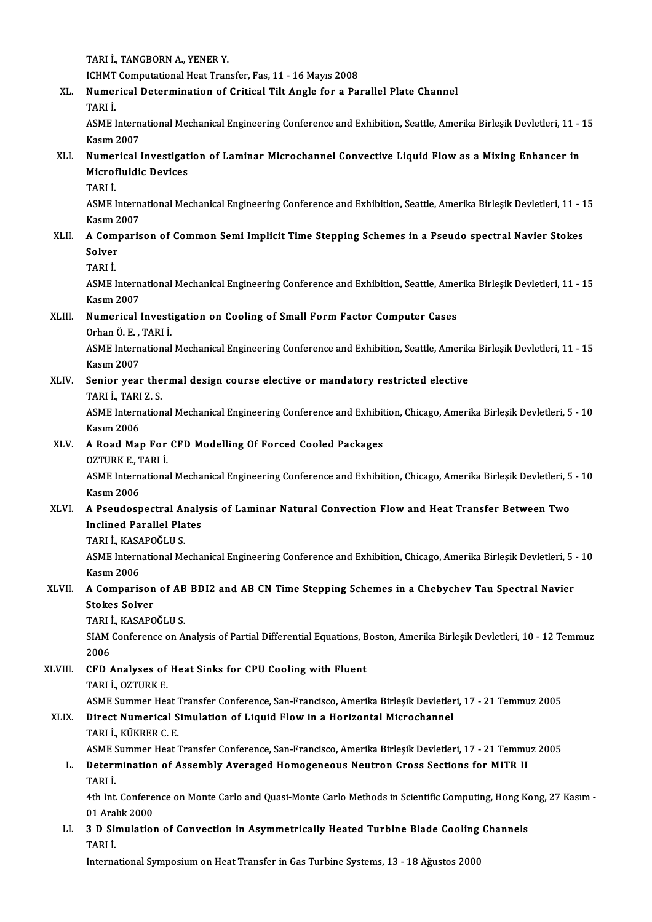TARI İ., TANGBORN A., YENER Y.

ICHMT Computational Heat Transfer, Fas, 11 - 16 Mayıs 2008

## TARI İ., TANGBORN A., YENER Y.<br>ICHMT Computational Heat Transfer, Fas, 11 - 16 Mayıs 2008<br>XL. Numerical Determination of Critical Tilt Angle for a Parallel Plate Channel<br>TARLİ ICHMT<br>Numei<br>TARI İ.<br>ASME I

Numerical Determination of Critical Tilt Angle for a Parallel Plate Channel<br>TARI İ.<br>ASME International Mechanical Engineering Conference and Exhibition, Seattle, Amerika Birleşik Devletleri, 11 - 15<br>Kasım 2007 TARI İ.<br>ASME Intern<br>Kasım 2007<br>Numarical l ASME International Mechanical Engineering Conference and Exhibition, Seattle, Amerika Birleşik Devletleri, 11 -<br>Kasım 2007<br>XLI. Numerical Investigation of Laminar Microchannel Convective Liquid Flow as a Mixing Enhancer in

## Kasım 2007<br>Numerical Investigat<br>Microfluidic Devices<br>TAPLİ **Numei<br>Microf**<br>TARI İ.<br>ASME I

Microfluidic Devices<br>TARI İ.<br>ASME International Mechanical Engineering Conference and Exhibition, Seattle, Amerika Birleşik Devletleri, 11 - 15 TARI İ.<br>ASME Intern<br>Kasım 2007<br>A Comparis XLII. A Comparison of Common Semi Implicit Time Stepping Schemes in a Pseudo spectral Navier Stokes<br>XLII. A Comparison of Common Semi Implicit Time Stepping Schemes in a Pseudo spectral Navier Stokes<br>Selver

## Kasım 2<br><mark>A Com</mark><br>Solver<br><sub>TAPI</sub> i A Com<br>Solver<br>TARI İ.<br>ASME I

Solver<br>TARI İ.<br>ASME International Mechanical Engineering Conference and Exhibition, Seattle, Amerika Birleşik Devletleri, 11 - 15 TARI İ.<br>ASME Intern<br>Kasım 2007<br>Numanisal l ASME International Mechanical Engineering Conference and Exhibition, Seattle, Ame<br>Kasım 2007<br>XLIII. Numerical Investigation on Cooling of Small Form Factor Computer Cases<br>Orban Ö. E. TABLİ

# Kasım 2007<br><mark>Numerical Investi</mark><br>Orhan Ö. E. , TARI İ.<br>ASME International

Numerical Investigation on Cooling of Small Form Factor Computer Cases<br>Orhan Ö. E. , TARI İ.<br>ASME International Mechanical Engineering Conference and Exhibition, Seattle, Amerika Birleşik Devletleri, 11 - 15<br>Kasım 2007 Orhan Ö. E. ,<br>ASME Intern<br>Kasım 2007<br>Senier veet ASME International Mechanical Engineering Conference and Exhibition, Seattle, Amerik<br>Kasım 2007<br>XLIV. Senior year thermal design course elective or mandatory restricted elective<br>TABLI TABLI S

## Kasım 2007<br>Senior year thermal design course elective or mandatory restricted elective<br>TARI İ., TARI Z. S.

Senior year thermal design course elective or mandatory restricted elective<br>TARI İ., TARI Z. S.<br>ASME International Mechanical Engineering Conference and Exhibition, Chicago, Amerika Birleşik Devletleri, 5 - 10<br>Kasım 2006 TARI İ., TARI<br>ASME Intern<br>Kasım 2006<br>A Bood Mol ASME International Mechanical Engineering Conference and Exhibit<br>Kasım 2006<br>XLV. A Road Map For CFD Modelling Of Forced Cooled Packages<br>OZTUPK E TAPLİ

#### Kasım 2006<br>A Road Map For CFD Modelling Of Forced Cooled Packages

#### OZTURK E., TARI İ

ASME International Mechanical Engineering Conference and Exhibition, Chicago, Amerika Birleşik Devletleri, 5 - 10<br>Kasım 2006 ASME International Mechanical Engineering Conference and Exhibition, Chicago, Amerika Birleşik Devletleri, 5<br>Kasım 2006<br>XLVI. A Pseudospectral Analysis of Laminar Natural Convection Flow and Heat Transfer Between Two

## Kasım 2006<br>A Pseudospectral Analy<br>Inclined Parallel Plates<br>TABLİ KASAROČLUS A Pseudospectral Ar<br>Inclined Parallel Pla<br>TARI İ., KASAPOĞLUS.<br>ASME International Me

Inclined Parallel Plates<br>TARI İ., KASAPOĞLU S.<br>ASME International Mechanical Engineering Conference and Exhibition, Chicago, Amerika Birleşik Devletleri, 5 - 10 TARI İ., KASA<br>ASME Intern<br>Kasım 2006<br>A Comparis ASME International Mechanical Engineering Conference and Exhibition, Chicago, Amerika Birleşik Devletleri, 5<br>Kasım 2006<br>XLVII. A Comparison of AB BDI2 and AB CN Time Stepping Schemes in a Chebychev Tau Spectral Navier<br>

## Kasım 2006<br>A Comparison<br>Stokes Solver<br>TABLİ *VASA*RO A Comparison of AB<br>Stokes Solver<br>TARI İ., KASAPOĞLU S.<br>SIAM Conforence on A

Stokes Solver<br>TARI İ., KASAPOĞLU S.<br>SIAM Conference on Analysis of Partial Differential Equations, Boston, Amerika Birleşik Devletleri, 10 - 12 Temmuz<br>2006 TARI İ<br>SIAM<br>2006<br>CED 4 SIAM Conference on Analysis of Partial Differential Equations, B<br>2006<br>XLVIII. CFD Analyses of Heat Sinks for CPU Cooling with Fluent<br>TABLI OTTUBY F

2006<br>CFD Analyses of<br>TARI İ., OZTURK E.<br>ASME Summer Hee CFD Analyses of Heat Sinks for CPU Cooling with Fluent<br>TARI İ., OZTURK E.<br>ASME Summer Heat Transfer Conference, San-Francisco, Amerika Birleşik Devletleri, 17 - 21 Temmuz 2005<br>Dinest Numerisel Simulation of Liquid Flow in

## TARI İ., OZTURK E.<br>ASME Summer Heat Transfer Conference, San-Francisco, Amerika Birleşik Devletler<br>XLIX. Direct Numerical Simulation of Liquid Flow in a Horizontal Microchannel<br>TARI İ., KÜKRER C. E. ASME Summer Heat 1<br>Direct Numerical S<br>TARI İ., KÜKRER C. E.<br>ASME Summer Heat 1

ASME Summer Heat Transfer Conference, San-Francisco, Amerika Birleşik Devletleri, 17 - 21 Temmuz 2005

### TARI İ., KÜKRER C. E.<br>ASME Summer Heat Transfer Conference, San-Francisco, Amerika Birleşik Devletleri, 17 - 21 Temmu<br>L. Determination of Assembly Averaged Homogeneous Neutron Cross Sections for MITR II<br>TABLİ ASME S<br>Deteri<br>TARI İ.<br>4th Int Determination of Assembly Averaged Homogeneous Neutron Cross Sections for MITR II<br>TARI İ.<br>4th Int. Conference on Monte Carlo and Quasi-Monte Carlo Methods in Scientific Computing, Hong Kong, 27 Kasım-<br>01 Aralık 2000

TARI İ.<br>4th Int. Confere<br>01 Aralık 2000<br>2 D. Simulation 4th Int. Conference on Monte Carlo and Quasi-Monte Carlo Methods in Scientific Computing, Hong Kool.<br>1. 3 D Simulation of Convection in Asymmetrically Heated Turbine Blade Cooling Channels<br>1. 3 D Simulation of Convection i

## 01 Ara<sup>1</sup><br>3 **D Sii**<br>TARI İ. 3 D Simulation of Convection in Asymmetrically Heated Turbine Blade Cooling<br>TARI İ.<br>International Symposium on Heat Transfer in Gas Turbine Systems, 13 - 18 Ağustos 2000